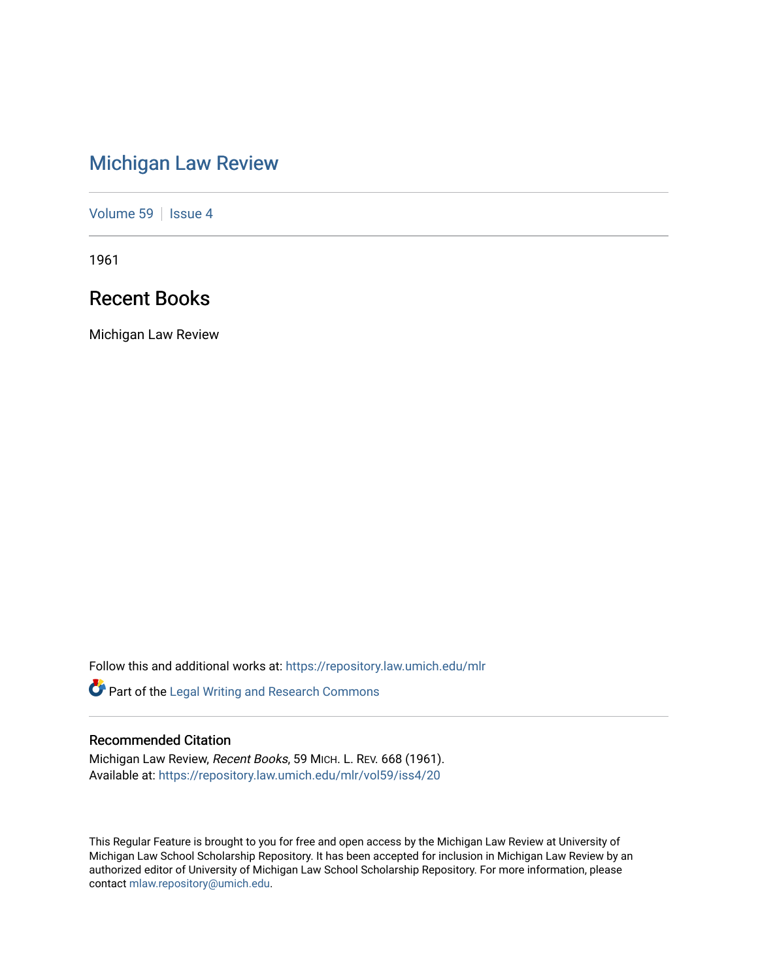# [Michigan Law Review](https://repository.law.umich.edu/mlr)

[Volume 59](https://repository.law.umich.edu/mlr/vol59) | [Issue 4](https://repository.law.umich.edu/mlr/vol59/iss4)

1961

# Recent Books

Michigan Law Review

Follow this and additional works at: [https://repository.law.umich.edu/mlr](https://repository.law.umich.edu/mlr?utm_source=repository.law.umich.edu%2Fmlr%2Fvol59%2Fiss4%2F20&utm_medium=PDF&utm_campaign=PDFCoverPages) 

Part of the [Legal Writing and Research Commons](http://network.bepress.com/hgg/discipline/614?utm_source=repository.law.umich.edu%2Fmlr%2Fvol59%2Fiss4%2F20&utm_medium=PDF&utm_campaign=PDFCoverPages) 

# Recommended Citation

Michigan Law Review, Recent Books, 59 MICH. L. REV. 668 (1961). Available at: [https://repository.law.umich.edu/mlr/vol59/iss4/20](https://repository.law.umich.edu/mlr/vol59/iss4/20?utm_source=repository.law.umich.edu%2Fmlr%2Fvol59%2Fiss4%2F20&utm_medium=PDF&utm_campaign=PDFCoverPages) 

This Regular Feature is brought to you for free and open access by the Michigan Law Review at University of Michigan Law School Scholarship Repository. It has been accepted for inclusion in Michigan Law Review by an authorized editor of University of Michigan Law School Scholarship Repository. For more information, please contact [mlaw.repository@umich.edu](mailto:mlaw.repository@umich.edu).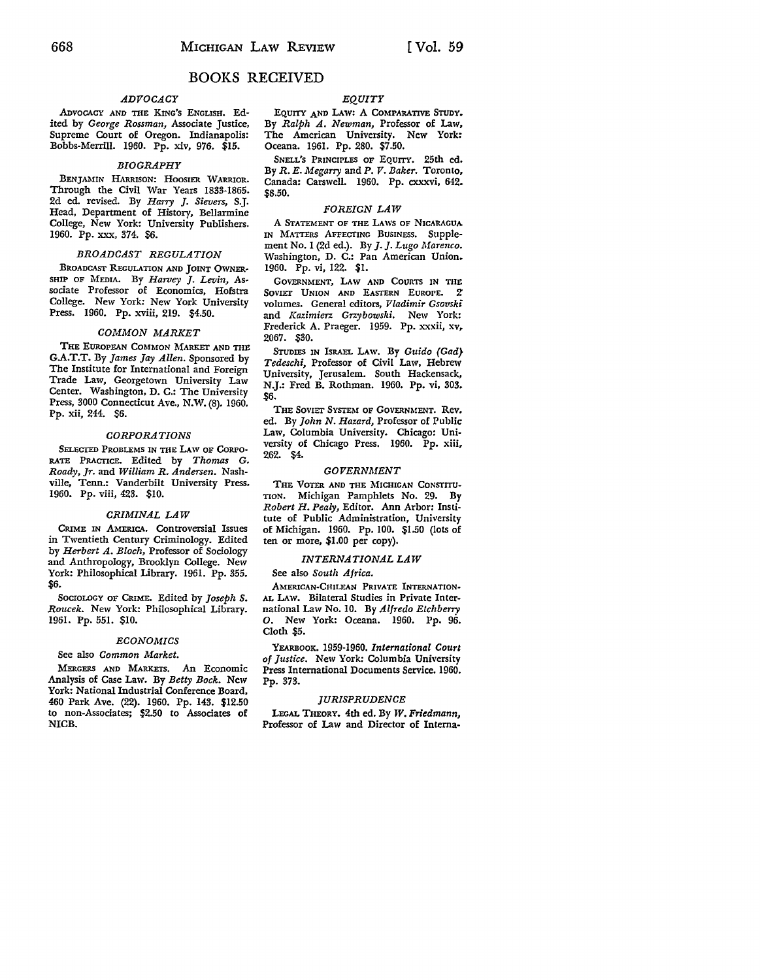# BOOKS RECEIVED

# *ADVOCACY*

ADVOCACY AND TIIE KING'S ENGLISH. Edited by *George Rossman,* Associate Justice, Supreme Court of Oregon. Indianapolis: Bobbs-Merrill. 1960. Pp. xiv, 976. \$15.

# *BIOGRAPHY*

BENJAMIN HARRISON: HOOSIER WARRIOR. Through the Civil War Years 1833-1865. 2d ed. revised. By *Harry J. Sievers,* S.J. Head, Department of History, Bellarmine College, New York: University Publishers. 1960. Pp. XXX, 374. \$6.

# *BROADCAST REGULATION*

BROADCAST REGULATION AND JOINT OWNER-SHIP OF MEDIA. By *Harvey J. Levin,* Associate Professor of Economics, Hofstra College. New York: New York University Press. 1960. Pp. xviii, 219. \$4.50.

# *COMMON MARKET*

THE EUROPEAN COMMON MARKET AND THE G.A.T.T. By *James Jay Allen.* Sponsored by The Institute for International and Foreign Trade Law, Georgetown University Law Center. Washington, D. C.: The University Press, 3000 Connecticut Ave., N.W. (8). 1960. Pp. xii, 244. \$6.

#### *CORPORATIONS*

SELECTED PROBLEMS IN THE LAW OF CORPO· RATE PRACTICE. Edited by *Thomas* G. *Roady, Jr.* and *William R. Andersen.* Nashville, Tenn.: Vanderbilt University Press. 1960. Pp. viii, 423. \$10.

# *CRIMINAL LAW*

CRIME IN AMERICA. Controversial Issues in Twentieth Century Criminology. Edited by *Herbert A. Bloch,* Professor of Sociology and Anthropology, Brooklyn College. New York: Philosophical Library. 1961. Pp. 355. \$6.

SocroLOGY OF CRIME. Edited by *Joseph S. Roucek.* New York: Philosophical Library. 1961. Pp. 551. \$10.

#### *ECONOMICS*

#### See also *Common Market.*

MERGERS AND MARKETS. An Economic Analysis of Case Law. By *Betty Bock.* New York: National Industrial Conference Board, 460 Park Ave. (22). 1960. Pp. 143. \$12.50 to non-Associates; \$2.50 to Associates of NICB.

# *EQUITY*

EQUITY AND LAW! A COMPARATIVE STUDY. By *Ralph A. Newman,* Professor of Law, The American University. New York: Oceana. 1961. Pp. 280. \$7.50.

SNELL'S PRINCIPLES OF EQUITY. 25th ed. By *R. E. Megarry* and P. *V. Baker.* Toronto, Canada: Carswell. 1960. Pp. cxxxvi, 642. \$8.50.

# *FOREIGN LAW*

A STATEMENT OF THE LAWS OF NICARAGUA IN MATTERS AFFECTING BUSINESS. Supplement No. I (2d ed.). By *J. J. Lugo Marenco.*  Washington, D. C.: Pan American Union. 1960. Pp. vi, 122. \$1.

GOVERNMENT, LAW AND COURTS IN THE SOVIET UNION AND EASTERN EUROPE. 2 volumes. General editors, *Vladimir Gsovski*  and *Kazimierz Grzybowski.* New York: Frederick A. Praeger. 1959. Pp. xxxii, xv, 2067. \$30.

STUDIES IN ISRAEL LAw. By *Guido (Gad) Tedeschi,* Professor of Civil Law, Hebrew University, Jerusalem. South Hackensack, N.J.: Fred B. Rothman. 1960. Pp. vi, 303. \$6.

THE SOVIET SYSTEM OF GOVERNMENT. Rev. ed. By *John N. Hazard,* Professor of Public Law, Columbia University. Chicago: University of Chicago Press. 1960. Pp. xiii, 262. \$4.

#### *GOVERNMENT*

THE VOTER AND THE MICHIGAN CONSTITU-TION. Michigan Pamphlets No. 29. By *Robert H. Pealy,* Editor. Ann Arbor: Institute of Public Administration, University of Michigan. 1960. Pp. 100. \$1.50 (lots of ten or more, \$1.00 per copy).

#### *INTERNATIONAL LAW*

#### See also *South Africa.*

AMERICAN-CHILEAN PRIVATE INTERNATION• AL LAw. Bilateral Studies in Private International Law No. 10. By *Alfredo Etchberry 0.* New York: Oceana. 1960. Pp. 96. Cloth \$5.

YEARBOOK. 1959-1960. *International Court of Justice.* New York: Columbia University Press International Documents Service. 1960. Pp. 373.

# *JURISPRUDENCE*

LEGAL THEORY. 4th ed. By *W. Friedmann,*  Professor of Law and Director of Interna-